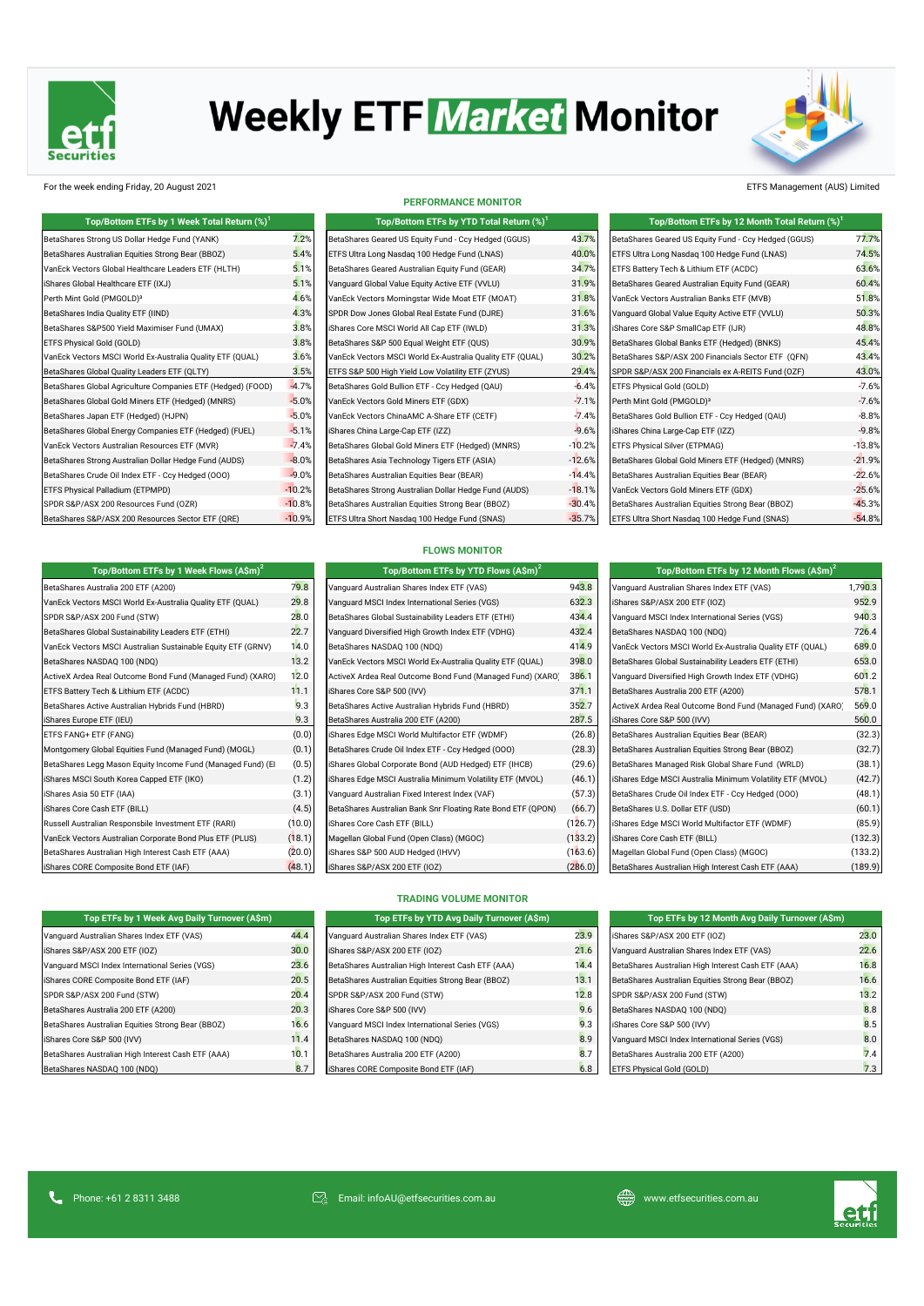

# **Weekly ETF Market Monitor**



### For the week ending Friday, 20 August 2021 ETFS Management (AUS) Limited

| Top/Bottom ETFs by 1 Week Total Return (%) <sup>1</sup>     |               |
|-------------------------------------------------------------|---------------|
| BetaShares Strong US Dollar Hedge Fund (YANK)               | $7.2^{\circ}$ |
| BetaShares Australian Equities Strong Bear (BBOZ)           | 5.4           |
| VanEck Vectors Global Healthcare Leaders ETF (HLTH)         | 5.1           |
| iShares Global Healthcare ETF (IXJ)                         | 5.1'          |
| Perth Mint Gold (PMGOLD) <sup>3</sup>                       | 4.6           |
| BetaShares India Quality ETF (IIND)                         | 4.3'          |
| BetaShares S&P500 Yield Maximiser Fund (UMAX)               | $3.8^{\circ}$ |
| ETFS Physical Gold (GOLD)                                   | $3.8^{\circ}$ |
| VanEck Vectors MSCI World Ex-Australia Quality ETF (QUAL)   | 3.6           |
| BetaShares Global Quality Leaders ETF (QLTY)                | $3.5^{\circ}$ |
| BetaShares Global Agriculture Companies ETF (Hedged) (FOOD) | $-4.7$        |
| BetaShares Global Gold Miners ETF (Hedged) (MNRS)           | $-5.0$        |
| BetaShares Japan ETF (Hedged) (HJPN)                        | $-5.0$        |
| BetaShares Global Energy Companies ETF (Hedged) (FUEL)      | $-5.1$        |
| VanEck Vectors Australian Resources ETF (MVR)               | $-7.4$        |
| BetaShares Strong Australian Dollar Hedge Fund (AUDS)       | $-8.0$        |
| BetaShares Crude Oil Index ETF - Ccy Hedged (000)           | $-9.0$        |
| ETFS Physical Palladium (ETPMPD)                            | $-10.2$       |
| SPDR S&P/ASX 200 Resources Fund (OZR)                       | $-10.8$       |
| BetaShares S&P/ASX 200 Resources Sector ETF (ORE)           | $-10.9$       |

**Top/Bottom ETFs by 1 Week Flows (A\$m)<sup>2</sup>**

### **PERFORMANCE MONITOR**

| Top/Bottom ETFs by 1 Week Total Return (%) <sup>1</sup>     |          | Top/Bottom ETFs by YTD Total Return (%) <sup>1</sup>      |          | Top/Bottom ETFs by 12 Month Total Return (%) <sup>1</sup> |          |
|-------------------------------------------------------------|----------|-----------------------------------------------------------|----------|-----------------------------------------------------------|----------|
| BetaShares Strong US Dollar Hedge Fund (YANK)               | 7.2%     | BetaShares Geared US Equity Fund - Ccy Hedged (GGUS)      | 43.7%    | BetaShares Geared US Equity Fund - Ccy Hedged (GGUS)      | 77.7%    |
| BetaShares Australian Equities Strong Bear (BBOZ)           | 5.4%     | ETFS Ultra Long Nasdaq 100 Hedge Fund (LNAS)              | 40.0%    | ETFS Ultra Long Nasdaq 100 Hedge Fund (LNAS)              | 74.5%    |
| VanEck Vectors Global Healthcare Leaders ETF (HLTH)         | 5.1%     | BetaShares Geared Australian Equity Fund (GEAR)           | 34.7%    | ETFS Battery Tech & Lithium ETF (ACDC)                    | 63.6%    |
| iShares Global Healthcare ETF (IXJ)                         | 5.1%     | Vanguard Global Value Equity Active ETF (VVLU)            | 31.9%    | BetaShares Geared Australian Equity Fund (GEAR)           | 60.4%    |
| Perth Mint Gold (PMGOLD) <sup>3</sup>                       | 4.6%     | VanEck Vectors Morningstar Wide Moat ETF (MOAT)           | 31.8%    | VanEck Vectors Australian Banks ETF (MVB)                 | 51.8%    |
| BetaShares India Quality ETF (IIND)                         | 4.3%     | SPDR Dow Jones Global Real Estate Fund (DJRE)             | 31.6%    | Vanguard Global Value Equity Active ETF (VVLU)            | 50.3%    |
| BetaShares S&P500 Yield Maximiser Fund (UMAX)               | 3.8%     | iShares Core MSCI World All Cap ETF (IWLD)                | 31.3%    | iShares Core S&P SmallCap ETF (IJR)                       | 48.8%    |
| ETFS Physical Gold (GOLD)                                   | 3.8%     | BetaShares S&P 500 Equal Weight ETF (QUS)                 | 30.9%    | BetaShares Global Banks ETF (Hedged) (BNKS)               | 45.4%    |
| VanEck Vectors MSCI World Ex-Australia Quality ETF (QUAL)   | 3.6%     | VanEck Vectors MSCI World Ex-Australia Quality ETF (QUAL) | 30.2%    | BetaShares S&P/ASX 200 Financials Sector ETF (QFN)        | 43.4%    |
| BetaShares Global Quality Leaders ETF (QLTY)                | 3.5%     | ETFS S&P 500 High Yield Low Volatility ETF (ZYUS)         | 29.4%    | SPDR S&P/ASX 200 Financials ex A-REITS Fund (OZF)         | 43.0%    |
| BetaShares Global Agriculture Companies ETF (Hedged) (FOOD) | $-4.7%$  | BetaShares Gold Bullion ETF - Ccy Hedged (QAU)            | $-6.4%$  | ETFS Physical Gold (GOLD)                                 | $-7.6%$  |
| BetaShares Global Gold Miners ETF (Hedged) (MNRS)           | $-5.0%$  | VanEck Vectors Gold Miners ETF (GDX)                      | $-7.1%$  | Perth Mint Gold (PMGOLD) <sup>3</sup>                     | $-7.6%$  |
| BetaShares Japan ETF (Hedged) (HJPN)                        | $-5.0%$  | VanEck Vectors ChinaAMC A-Share ETF (CETF)                | $-7.4%$  | BetaShares Gold Bullion ETF - Ccy Hedged (QAU)            | $-8.8%$  |
| BetaShares Global Energy Companies ETF (Hedged) (FUEL)      | $-5.1%$  | iShares China Large-Cap ETF (IZZ)                         | $-9.6%$  | iShares China Large-Cap ETF (IZZ)                         | $-9.8%$  |
| VanEck Vectors Australian Resources ETF (MVR)               | $-7.4%$  | BetaShares Global Gold Miners ETF (Hedged) (MNRS)         | $-10.2%$ | ETFS Physical Silver (ETPMAG)                             | $-13.8%$ |
| BetaShares Strong Australian Dollar Hedge Fund (AUDS)       | $-8.0%$  | BetaShares Asia Technology Tigers ETF (ASIA)              | $-12.6%$ | BetaShares Global Gold Miners ETF (Hedged) (MNRS)         | $-21.9%$ |
| BetaShares Crude Oil Index ETF - Ccy Hedged (000)           | $-9.0%$  | BetaShares Australian Equities Bear (BEAR)                | $-14.4%$ | BetaShares Australian Equities Bear (BEAR)                | $-22.6%$ |
| ETFS Physical Palladium (ETPMPD)                            | $-10.2%$ | BetaShares Strong Australian Dollar Hedge Fund (AUDS)     | $-18.1%$ | VanEck Vectors Gold Miners ETF (GDX)                      | $-25.6%$ |
| SPDR S&P/ASX 200 Resources Fund (OZR)                       | $-10.8%$ | BetaShares Australian Equities Strong Bear (BBOZ)         | $-30.4%$ | BetaShares Australian Equities Strong Bear (BBOZ)         | $-45.3%$ |
| BetaShares S&P/ASX 200 Resources Sector ETF (QRE)           | $-10.9%$ | ETFS Ultra Short Nasdaq 100 Hedge Fund (SNAS)             | $-35.7%$ | ETFS Ultra Short Nasdaq 100 Hedge Fund (SNAS)             | $-54.8%$ |

| Top/Bottom ETFs by 1 Week Total Return (%) <sup>1</sup>     |          | Top/Bottom ETFs by YTD Total Return $(\%)^1$              |          | Top/Bottom ETFs by 12 Month Total Return $(\%)^1$    |          |
|-------------------------------------------------------------|----------|-----------------------------------------------------------|----------|------------------------------------------------------|----------|
| BetaShares Strong US Dollar Hedge Fund (YANK)               | 7.2%     | BetaShares Geared US Equity Fund - Ccy Hedged (GGUS)      | 43.7%    | BetaShares Geared US Equity Fund - Ccy Hedged (GGUS) | 77.7%    |
| BetaShares Australian Equities Strong Bear (BBOZ)           | 5.4%     | ETFS Ultra Long Nasdag 100 Hedge Fund (LNAS)              | 40.0%    | ETFS Ultra Long Nasdag 100 Hedge Fund (LNAS)         | 74.5%    |
| VanEck Vectors Global Healthcare Leaders ETF (HLTH)         | 5.1%     | BetaShares Geared Australian Equity Fund (GEAR)           | 34.7%    | ETFS Battery Tech & Lithium ETF (ACDC)               | 63.6%    |
| iShares Global Healthcare ETF (IXJ)                         | 5.1%     | Vanguard Global Value Equity Active ETF (VVLU)            | 31.9%    | BetaShares Geared Australian Equity Fund (GEAR)      | 60.4%    |
| Perth Mint Gold (PMGOLD) <sup>3</sup>                       | 4.6%     | VanEck Vectors Morningstar Wide Moat ETF (MOAT)           | 31.8%    | VanEck Vectors Australian Banks ETF (MVB)            | 51.8%    |
| BetaShares India Quality ETF (IIND)                         | 4.3%     | SPDR Dow Jones Global Real Estate Fund (DJRE)             | 31.6%    | Vanguard Global Value Equity Active ETF (VVLU)       | 50.3%    |
| BetaShares S&P500 Yield Maximiser Fund (UMAX)               | 3.8%     | iShares Core MSCI World All Cap ETF (IWLD)                | 31.3%    | iShares Core S&P SmallCap ETF (IJR)                  | 48.8%    |
| ETFS Physical Gold (GOLD)                                   | 3.8%     | BetaShares S&P 500 Equal Weight ETF (QUS)                 | 30.9%    | BetaShares Global Banks ETF (Hedged) (BNKS)          | 45.4%    |
| VanEck Vectors MSCI World Ex-Australia Quality ETF (QUAL)   | 3.6%     | VanEck Vectors MSCI World Ex-Australia Quality ETF (QUAL) | 30.2%    | BetaShares S&P/ASX 200 Financials Sector ETF (QFN)   | 43.4%    |
| BetaShares Global Quality Leaders ETF (QLTY)                | 3.5%     | ETFS S&P 500 High Yield Low Volatility ETF (ZYUS)         | 29.4%    | SPDR S&P/ASX 200 Financials ex A-REITS Fund (OZF)    | 43.0%    |
| BetaShares Global Agriculture Companies ETF (Hedged) (FOOD) | $-4.7%$  | BetaShares Gold Bullion ETF - Ccy Hedged (QAU)            | $-6.4%$  | <b>ETFS Physical Gold (GOLD)</b>                     | $-7.6%$  |
| BetaShares Global Gold Miners ETF (Hedged) (MNRS)           | $-5.0%$  | VanEck Vectors Gold Miners ETF (GDX)                      | $-7.1%$  | Perth Mint Gold (PMGOLD) <sup>3</sup>                | $-7.6%$  |
| BetaShares Japan ETF (Hedged) (HJPN)                        | $-5.0%$  | VanEck Vectors ChinaAMC A-Share ETF (CETF)                | $-7.4%$  | BetaShares Gold Bullion ETF - Ccy Hedged (QAU)       | $-8.8%$  |
| BetaShares Global Energy Companies ETF (Hedged) (FUEL)      | $-5.1%$  | iShares China Large-Cap ETF (IZZ)                         | $-9.6%$  | iShares China Large-Cap ETF (IZZ)                    | $-9.8%$  |
| VanEck Vectors Australian Resources ETF (MVR)               | $-7.4%$  | BetaShares Global Gold Miners ETF (Hedged) (MNRS)         | $-10.2%$ | <b>ETFS Physical Silver (ETPMAG)</b>                 | $-13.8%$ |
| BetaShares Strong Australian Dollar Hedge Fund (AUDS)       | $-8.0%$  | BetaShares Asia Technology Tigers ETF (ASIA)              | $-12.6%$ | BetaShares Global Gold Miners ETF (Hedged) (MNRS)    | $-21.9%$ |
| BetaShares Crude Oil Index ETF - Ccy Hedged (000)           | $-9.0%$  | BetaShares Australian Equities Bear (BEAR)                | $-14.4%$ | BetaShares Australian Equities Bear (BEAR)           | $-22.6%$ |
| ETFS Physical Palladium (ETPMPD)                            | $-10.2%$ | BetaShares Strong Australian Dollar Hedge Fund (AUDS)     | $-18.1%$ | VanEck Vectors Gold Miners ETF (GDX)                 | $-25.6%$ |
| SPDR S&P/ASX 200 Resources Fund (OZR)                       | $-10.8%$ | BetaShares Australian Equities Strong Bear (BBOZ)         | $-30.4%$ | BetaShares Australian Equities Strong Bear (BBOZ)    | $-45.3%$ |
| BetaShares S&P/ASX 200 Resources Sector ETF (ORE)           | $-10.9%$ | ETFS Ultra Short Nasdag 100 Hedge Fund (SNAS)             | $-35.7%$ | ETFS Ultra Short Nasdag 100 Hedge Fund (SNAS)        | $-54.8%$ |

|  | <b>FLOWS MONITOR</b> |  |
|--|----------------------|--|
|  |                      |  |
|  |                      |  |

| Top/Bottom ETFs by 1 Week Flows (A\$m) <sup>2</sup>          |        | Top/Bottom ETFs by YTD Flows (A\$m) <sup>2</sup>             |         | Top/Bottom ETFs by 12 Month Flows $(A\$ m) <sup>2</sup>    |         |
|--------------------------------------------------------------|--------|--------------------------------------------------------------|---------|------------------------------------------------------------|---------|
| BetaShares Australia 200 ETF (A200)                          | 79.8   | Vanguard Australian Shares Index ETF (VAS)                   | 943.8   | Vanguard Australian Shares Index ETF (VAS)                 | 1,790.3 |
| VanEck Vectors MSCI World Ex-Australia Quality ETF (QUAL)    | 29.8   | Vanguard MSCI Index International Series (VGS)               | 632.3   | iShares S&P/ASX 200 ETF (IOZ)                              | 952.9   |
| SPDR S&P/ASX 200 Fund (STW)                                  | 28.0   | BetaShares Global Sustainability Leaders ETF (ETHI)          | 434.4   | Vanquard MSCI Index International Series (VGS)             | 940.3   |
| BetaShares Global Sustainability Leaders ETF (ETHI)          | 22.7   | Vanguard Diversified High Growth Index ETF (VDHG)            | 432.4   | BetaShares NASDAQ 100 (NDQ)                                | 726.4   |
| VanEck Vectors MSCI Australian Sustainable Equity ETF (GRNV) | 14.0   | BetaShares NASDAQ 100 (NDQ)                                  | 414.9   | VanEck Vectors MSCI World Ex-Australia Quality ETF (QUAL)  | 689.0   |
| BetaShares NASDAQ 100 (NDQ)                                  | 13.2   | VanEck Vectors MSCI World Ex-Australia Quality ETF (QUAL)    | 398.0   | BetaShares Global Sustainability Leaders ETF (ETHI)        | 653.0   |
| ActiveX Ardea Real Outcome Bond Fund (Managed Fund) (XARO)   | 12.0   | ActiveX Ardea Real Outcome Bond Fund (Managed Fund) (XARO)   | 386.1   | Vanguard Diversified High Growth Index ETF (VDHG)          | 601.2   |
| ETFS Battery Tech & Lithium ETF (ACDC)                       | 11.1   | iShares Core S&P 500 (IVV)                                   | 371.1   | BetaShares Australia 200 ETF (A200)                        | 578.1   |
| BetaShares Active Australian Hybrids Fund (HBRD)             | 9.3    | BetaShares Active Australian Hybrids Fund (HBRD)             | 352.7   | ActiveX Ardea Real Outcome Bond Fund (Managed Fund) (XARO) | 569.0   |
| iShares Europe ETF (IEU)                                     | 9.3    | BetaShares Australia 200 ETF (A200)                          | 287.5   | iShares Core S&P 500 (IVV)                                 | 560.0   |
| ETFS FANG+ ETF (FANG)                                        | (0.0)  | iShares Edge MSCI World Multifactor ETF (WDMF)               | (26.8)  | BetaShares Australian Equities Bear (BEAR)                 | (32.3)  |
| Montgomery Global Equities Fund (Managed Fund) (MOGL)        | (0.1)  | BetaShares Crude Oil Index ETF - Ccy Hedged (000)            | (28.3)  | BetaShares Australian Equities Strong Bear (BBOZ)          | (32.7)  |
| BetaShares Legg Mason Equity Income Fund (Managed Fund) (El  | (0.5)  | iShares Global Corporate Bond (AUD Hedged) ETF (IHCB)        | (29.6)  | BetaShares Managed Risk Global Share Fund (WRLD)           | (38.1)  |
| iShares MSCI South Korea Capped ETF (IKO)                    | (1.2)  | iShares Edge MSCI Australia Minimum Volatility ETF (MVOL)    | (46.1)  | iShares Edge MSCI Australia Minimum Volatility ETF (MVOL)  | (42.7)  |
| iShares Asia 50 ETF (IAA)                                    | (3.1)  | Vanguard Australian Fixed Interest Index (VAF)               | (57.3)  | BetaShares Crude Oil Index ETF - Ccy Hedged (000)          | (48.1)  |
| iShares Core Cash ETF (BILL)                                 | (4.5)  | BetaShares Australian Bank Snr Floating Rate Bond ETF (QPON) | (66.7)  | BetaShares U.S. Dollar ETF (USD)                           | (60.1)  |
| Russell Australian Responsbile Investment ETF (RARI)         | (10.0) | iShares Core Cash ETF (BILL)                                 | (126.7) | iShares Edge MSCI World Multifactor ETF (WDMF)             | (85.9)  |
| VanEck Vectors Australian Corporate Bond Plus ETF (PLUS)     | (18.1) | Magellan Global Fund (Open Class) (MGOC)                     | (133.2) | iShares Core Cash ETF (BILL)                               | (132.3) |
| BetaShares Australian High Interest Cash ETF (AAA)           | (20.0) | iShares S&P 500 AUD Hedged (IHVV)                            | (163.6) | Magellan Global Fund (Open Class) (MGOC)                   | (133.2) |
| iShares CORE Composite Bond ETF (IAF)                        | (48.1) | iShares S&P/ASX 200 ETF (IOZ)                                | (286.0) | BetaShares Australian High Interest Cash ETF (AAA)         | (189.9) |

| Top/Bottom ETFs by 12 Month Flows $(A\sin)^2$              |         |
|------------------------------------------------------------|---------|
| Vanguard Australian Shares Index ETF (VAS)                 | 1,790.3 |
| iShares S&P/ASX 200 ETF (IOZ)                              | 952.9   |
| Vanquard MSCI Index International Series (VGS)             | 940.3   |
| BetaShares NASDAQ 100 (NDQ)                                | 726.4   |
| VanEck Vectors MSCI World Ex-Australia Quality ETF (QUAL)  | 689.0   |
| BetaShares Global Sustainability Leaders ETF (ETHI)        | 653.0   |
| Vanguard Diversified High Growth Index ETF (VDHG)          | 601.2   |
| BetaShares Australia 200 ETF (A200)                        | 578.1   |
| ActiveX Ardea Real Outcome Bond Fund (Managed Fund) (XARO) | 569.0   |
| iShares Core S&P 500 (IVV)                                 | 560.0   |
| BetaShares Australian Equities Bear (BEAR)                 | (32.3)  |
| BetaShares Australian Equities Strong Bear (BBOZ)          | (32.7)  |
| BetaShares Managed Risk Global Share Fund (WRLD)           | (38.1)  |
| iShares Edge MSCI Australia Minimum Volatility ETF (MVOL)  | (42.7)  |
| BetaShares Crude Oil Index ETF - Ccy Hedged (000)          | (48.1)  |
| BetaShares U.S. Dollar ETF (USD)                           | (60.1)  |
| iShares Edge MSCI World Multifactor ETF (WDMF)             | (85.9)  |
| iShares Core Cash ETF (BILL)                               | (132.3) |
| Magellan Global Fund (Open Class) (MGOC)                   | (133.2) |
| <b>BetaShares Australian High Interest Cash FTE (AAA)</b>  | (1899)  |

| Top ETFs by 1 Week Avg Daily Turnover (A\$m)       |                 |
|----------------------------------------------------|-----------------|
| Vanquard Australian Shares Index ETF (VAS)         | 44.4            |
| iShares S&P/ASX 200 ETF (IOZ)                      | 30.0            |
| Vanquard MSCI Index International Series (VGS)     | 23.6            |
| iShares CORE Composite Bond ETF (IAF)              | 20.5            |
| SPDR S&P/ASX 200 Fund (STW)                        | 20.4            |
| BetaShares Australia 200 ETF (A200)                | 20.3            |
| BetaShares Australian Equities Strong Bear (BBOZ)  | 16.6            |
| iShares Core S&P 500 (IVV)                         | 11.4            |
| BetaShares Australian High Interest Cash ETF (AAA) | 10 <sup>1</sup> |
| BetaShares NASDAQ 100 (NDQ)                        | 8.7             |

### **TRADING VOLUME MONITOR**

| Top ETFs by 1 Week Avg Daily Turnover (A\$m) |      | Top ETFs by YTD Avg Daily Turnover (A\$m)          |      | Top ETFs by 12 Month Avg Daily Turnover (A\$m)     |
|----------------------------------------------|------|----------------------------------------------------|------|----------------------------------------------------|
| ustralian Shares Index ETF (VAS)             | 44.4 | Vanquard Australian Shares Index ETF (VAS)         | 23.9 | iShares S&P/ASX 200 ETF (IOZ)                      |
| P/ASX 200 ETF (IOZ)                          | 30.0 | iShares S&P/ASX 200 ETF (IOZ)                      | 21.6 | Vanquard Australian Shares Index ETF (VAS)         |
| <b>ASCI Index International Series (VGS)</b> | 23.6 | BetaShares Australian High Interest Cash ETF (AAA) | 14.4 | BetaShares Australian High Interest Cash ETF (AAA) |
| RE Composite Bond ETF (IAF)                  | 20.5 | BetaShares Australian Equities Strong Bear (BBOZ)  | 13.1 | BetaShares Australian Equities Strong Bear (BBOZ)  |
| ASX 200 Fund (STW)                           | 20.4 | SPDR S&P/ASX 200 Fund (STW)                        | 12.8 | SPDR S&P/ASX 200 Fund (STW)                        |
| Australia 200 ETF (A200)                     | 20.3 | iShares Core S&P 500 (IVV)                         | 9.6  | BetaShares NASDAQ 100 (NDQ)                        |
| Australian Equities Strong Bear (BBOZ)       | 16.6 | Vanquard MSCI Index International Series (VGS)     | 9.3  | iShares Core S&P 500 (IVV)                         |
| e S&P 500 (IVV)                              | 11.4 | BetaShares NASDAQ 100 (NDQ)                        | 8.9  | Vanquard MSCI Index International Series (VGS)     |
| Australian High Interest Cash ETF (AAA)      | 10.1 | BetaShares Australia 200 ETF (A200)                | 8.7  | BetaShares Australia 200 ETF (A200)                |
| NASDAQ 100 (NDQ)                             |      | iShares CORE Composite Bond ETF (IAF)              | 6.8  | ETFS Physical Gold (GOLD)                          |

| Top ETFs by 1 Week Avg Daily Turnover (ASm)        |      | Top ETFs by YTD Avg Daily Turnover (ASm)           |      | Top ETFs by 12 Month Avg Daily Turnover (ASm)      |      |
|----------------------------------------------------|------|----------------------------------------------------|------|----------------------------------------------------|------|
| Vanquard Australian Shares Index ETF (VAS)         | 44.4 | Vanquard Australian Shares Index ETF (VAS)         | 23.9 | iShares S&P/ASX 200 ETF (IOZ)                      | 23.0 |
| iShares S&P/ASX 200 ETF (IOZ)                      | 30.0 | iShares S&P/ASX 200 ETF (IOZ)                      | 21.6 | Vanguard Australian Shares Index ETF (VAS)         | 22.6 |
| Vanquard MSCI Index International Series (VGS)     | 23.6 | BetaShares Australian High Interest Cash ETF (AAA) | 14.4 | BetaShares Australian High Interest Cash ETF (AAA) | 16.8 |
| iShares CORE Composite Bond ETF (IAF)              | 20.5 | BetaShares Australian Equities Strong Bear (BBOZ)  | 13.1 | BetaShares Australian Equities Strong Bear (BBOZ)  | 16.6 |
| SPDR S&P/ASX 200 Fund (STW)                        | 20.4 | SPDR S&P/ASX 200 Fund (STW)                        | 12.8 | SPDR S&P/ASX 200 Fund (STW)                        | 13.2 |
| BetaShares Australia 200 ETF (A200)                | 20.3 | iShares Core S&P 500 (IVV)                         | 9.6  | BetaShares NASDAQ 100 (NDQ)                        | 8.8  |
| BetaShares Australian Equities Strong Bear (BBOZ)  | 16.6 | Vanquard MSCI Index International Series (VGS)     | 9.3  | iShares Core S&P 500 (IVV)                         | 8.5  |
| iShares Core S&P 500 (IVV)                         | 11.4 | BetaShares NASDAQ 100 (NDQ)                        | 8.9  | Vanquard MSCI Index International Series (VGS)     | 8.0  |
| BetaShares Australian High Interest Cash ETF (AAA) | 10.1 | BetaShares Australia 200 ETF (A200)                | 8.7  | BetaShares Australia 200 ETF (A200)                | 7.4  |
| BetaShares NASDAQ 100 (NDQ)                        | 8.7  | iShares CORE Composite Bond ETF (IAF)              | 6.8  | ETFS Physical Gold (GOLD)                          | 7.3  |